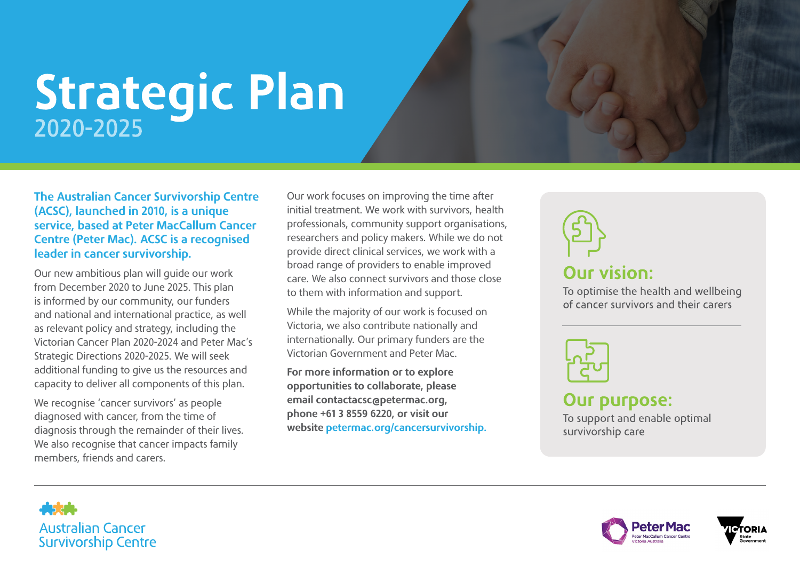## Strategic Plan

## The Australian Cancer Survivorship Centre (ACSC), launched in 2010, is a unique service, based at Peter MacCallum Cancer Centre (Peter Mac). ACSC is a recognised leader in cancer survivorship.

Our new ambitious plan will guide our work from December 2020 to June 2025. This plan is informed by our community, our funders and national and international practice, as well as relevant policy and strategy, including the Victorian Cancer Plan 2020-2024 and Peter Mac's Strategic Directions 2020-2025. We will seek additional funding to give us the resources and capacity to deliver all components of this plan.

We recognise 'cancer survivors' as people diagnosed with cancer, from the time of diagnosis through the remainder of their lives. We also recognise that cancer impacts family members, friends and carers.

Our work focuses on improving the time after initial treatment. We work with survivors, health professionals, community support organisations, researchers and policy makers. While we do not provide direct clinical services, we work with a broad range of providers to enable improved care. We also connect survivors and those close to them with information and support.

While the majority of our work is focused on Victoria, we also contribute nationally and internationally. Our primary funders are the Victorian Government and Peter Mac.

For more information or to explore opportunities to collaborate, please email contactacsc@petermac.org, phone +61 3 8559 6220, or visit our website [petermac.org/cancersurvivorship.](https://www.petermac.org/cancersurvivorship) **Our vision:** 

To optimise the health and wellbeing of cancer survivors and their carers



**Our purpose:** 

To support and enable optimal survivorship care